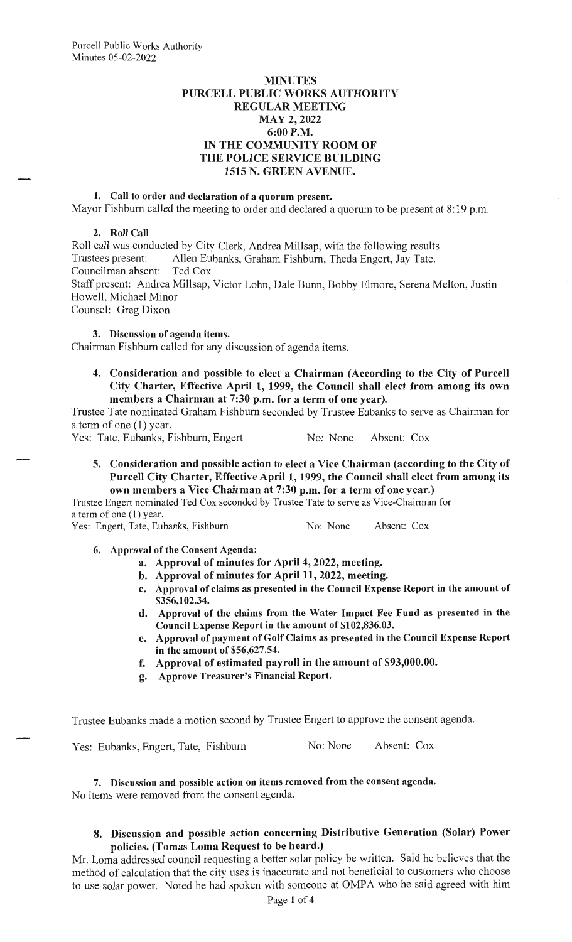#### **MINUTES PURCELL PUBLIC WORKS AUTHORITY REGULAR MEETING MAY 2, 2022 6:00 P.M. IN THE COMMUNITY ROOM OF THE POLICE SERVICE BUILDING 1515 N. GREEN A VENUE.**

#### **1. Call to order and declaration of a quorum present.**

Mayor Fishburn called the meeting to order and declared a quorum to be present at 8:19 p.m.

#### **2. Roll Call**

Roll call was conducted by City Clerk, Andrea Millsap, with the following results Trustees present: Allen Eubanks, Graham Fishburn, Theda Engert, Jay Tate. Councilman absent: Ted Cox Staff present: Andrea Millsap, Victor Lohn, Dale Bunn, Bobby Elmore, Serena Melton, Justin Howell, Michael Minor Counsel: Greg Dixon

**3. Discussion of agenda items.** 

Chairman Fishburn called for any discussion of agenda items.

**4. Consideration and possible to elect a Chairman (According to the City of Purcell City Charter, Effective April 1, 1999, the Council shall elect from among its own members a Chairman at 7:30 p.m. for a term of one year).** 

Trustee Tate nominated Graham Fishburn seconded by Trustee Eubanks to serve as Chairman for a term of one (1) year.

Yes: Tate, Eubanks, Fishburn, Engert No: None Absent: Cox

**5. Consideration and possible action to elect a Vice Chairman (according to the City of Purcell City Charter, Effective April 1, 1999, the Council shall elect from among its own members a Vice Chairman at 7:30 p.m. for a term of one year.)** 

Trustee Engert nominated Ted Cox seconded by Trustee Tate to serve as Vice-Chairman for a term of one (I) year.

Yes: Engert, Tate, Eubanks, Fishburn No: No: None Absent: Cox

**6. Approval of the Consent Agenda:** 

- **a. Approval of minutes for April 4, 2022, meeting.**
- **b. Approval of minutes for April 11, 2022, meeting.**
- **c. Approval of claims as presented in the Council Expense Report in the amount of \$356,102.34.**
- **d. Approval of the claims from the Water Impact Fee Fund as presented in the Council Expense Report in the amount of \$102,836.03.**
- **e. Approval of payment of Golf Claims as presented in the Council Expense Report in the amount of \$56,627.54.**
- **f. Approval of estimated payroll in the amount of \$93,000.00.**
- **g. Approve Treasurer's Financial Report.**

Trustee Eubanks made a motion second by Trustee Engert to approve the consent agenda.

Yes: Eubanks, Engert, Tate, Fishburn No: None Absent: Cox

**7. Discussion and possible action on items removed from the consent agenda.**  No items were removed from the consent agenda.

# **8. Discussion and possible action concerning Distributive Generation (Solar) Power policies. (Tomas Loma Request to be heard.)**

Mr. Loma addressed council requesting a better solar policy be written. Said he believes that the method of calculation that the city uses is inaccurate and not beneficial to customers who choose to use solar power. Noted he had spoken with someone at OMPA who he said agreed with him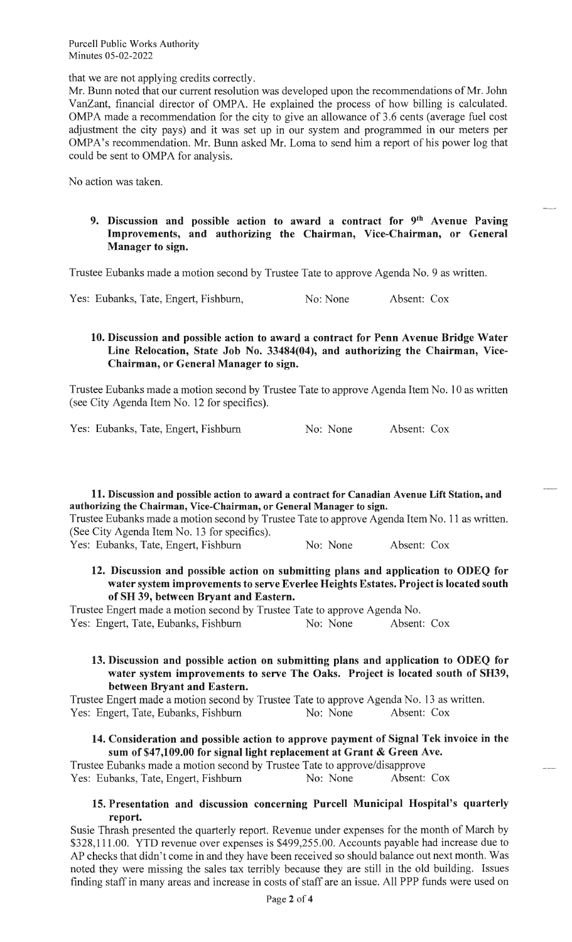Purcell Public Works Authority Minutes 05-02-2022

that we are not applying credits correctly.

Mr. Bunn noted that our current resolution was developed upon the recommendations of Mr. John VanZant, financial director of OMPA. He explained the process of how billing is calculated. OMPA made a recommendation for the city to give an allowance of 3.6 cents (average fuel cost adjustment the city pays) and it was set up in our system and programmed in our meters per OMPA's recommendation. Mr. Bunn asked Mr. Loma to send him a report of his power log that could be sent to OMPA for analysis.

No action was taken.

**9. Discussion and possible action to award a contract for 9th Avenue Paving Improvements, and authorizing the Chairman, Vice-Chairman, or General Manager to sign.** 

 $\overline{\phantom{a}}$ 

Trustee Eubanks made a motion second by Trustee Tate to approve Agenda No. 9 as written.

Yes: Eubanks, Tate, Engert, Fishburn, No: None Absent: Cox

## **10. Discussion and possible action to award a contract for Penn Avenue Bridge Water Line Relocation, State Job No. 33484(04), and authorizing the Chairman, Vice-Chairman, or General Manager to sign.**

Trustee Eubanks made a motion second by Trustee Tate to approve Agenda Item No. 10 as written (see City Agenda Item No. 12 for specifics).

Yes: Eubanks, Tate, Engert, Fishburn No: None Absent: Cox

**11. Discussion and possible action to award a contract for Canadian Avenue Lift Station, and authorizing the Chairman, Vice-Chairman, or General Manager to sign.** 

Trustee Eubanks made a motion second by Trustee Tate to approve Agenda Item No. 11 as written. (See City Agenda Item No. 13 for specifics).

Yes: Eubanks, Tate, Engert, Fishburn No: None Absent: Cox

**12. Discussion and possible action on submitting plans and application to ODEQ for water system improvements to serve Everlee Heights Estates. Project is located south of SH 39, between Bryant and Eastern.** 

Trustee Engert made a motion second by Trustee Tate to approve Agenda No. Yes: Engert, Tate, Eubanks, Fishburn No: None Absent: Cox

### **13. Discussion and possible action on submitting plans and application to ODEQ for water system improvements to serve The Oaks. Project is located south of SH39, between Bryant and Eastern.**

Trustee Engert made a motion second by Trustee Tate to approve Agenda No. 13 as written. Yes: Engert, Tate, Eubanks, Fishburn No: None Absent: Cox

## **14. Consideration and possible action to approve payment of Signal Tek invoice in the sum of \$47,109.00 for signal light replacement at Grant** & **Green Ave.**

Trustee Eubanks made a motion second by Trustee Tate to approve/disapprove Yes: Eubanks, Tate, Engert, Fishburn No: None Absent: Cox

#### **15. Presentation and discussion concerning Purcell Municipal Hospital's quarterly report.**

Susie Thrash presented the quarterly report. Revenue under expenses for the month of March by \$328,11 1.00. YTD revenue over expenses is \$499,255.00. Accounts payable had increase due to AP checks that didn't come in and they have been received so should balance out next month. Was noted they were missing the sales tax terribly because they are still in the old building. Issues finding staff in many areas and increase in costs of staff are an issue. All PPP funds were used on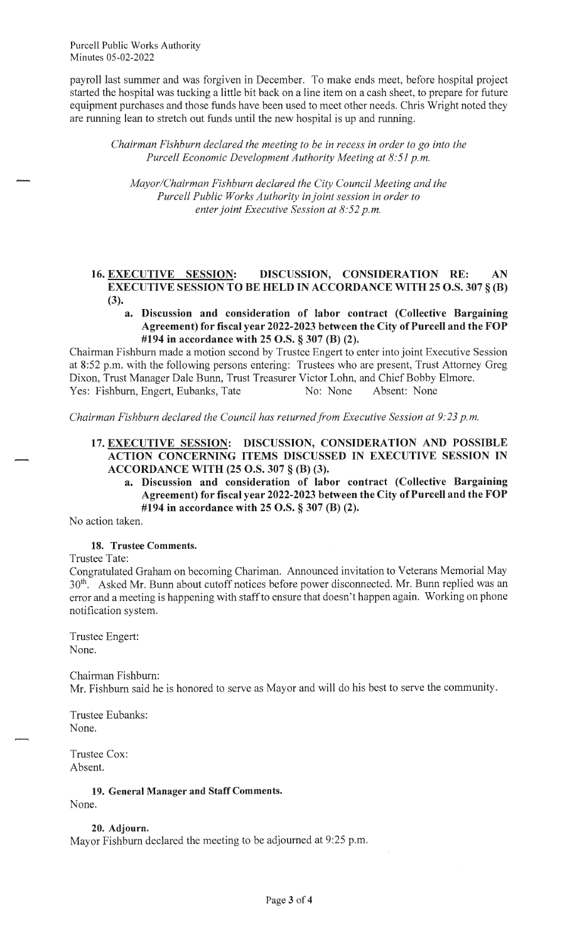payroll last summer and was forgiven in December. To make ends meet, before hospital project started the hospital was tucking a little bit back on a line item on a cash sheet, to prepare for future equipment purchases and those funds have been used to meet other needs. Chris Wright noted they are running lean to stretch out funds until the new hospital is up and running.

*Chairman Fishburn declared the meeting to be in recess in order to go into the Purcell Economic Development Authority Meeting at 8:51 p.m.* 

*Mayor/Chairman Fishburn declared the City Council Meeting and the Purcell Public Works Authority in joint session in order to enter joint Executive Session at 8:52 p.m.* 

### **16. EXECUTIVE SESSION: DISCUSSION, CONSIDERATION RE: AN EXECUTIVE SESSION TO BE HELD IN ACCORDANCE WITH 25 O.S. 307 § (B) (3).**

**a. Discussion and consideration of labor contract (Collective Bargaining Agreement) for fiscal year 2022-2023 between the City of Purcell and the FOP #194 in accordance with 25 O.S. § 307 (B) (2).** 

Chairman Fishburn made a motion second by Trustee Engert to enter into joint Executive Session at 8:52 p.m. with the following persons entering: Trustees who are present, Trust Attorney Greg Dixon, Trust Manager Dale Bunn, Trust Treasurer Victor Lohn, and Chief Bobby Elmore. Yes: Fishburn, Engert, Eubanks, Tate No: None Absent: None

*Chairman Fishburn declared the Council has returnedfrom Executive Session at 9:23 p.m.* 

## **17. EXECUTIVE SESSION: DISCUSSION, CONSIDERATION AND POSSIBLE ACTION CONCERNING ITEMS DISCUSSED IN EXECUTIVE SESSION IN ACCORDANCE WITH (25 O.S. 307 § (B) (3).**

**a. Discussion and consideration of labor contract (Collective Bargaining Agreement) for fiscal year 2022-2023 between the City of Purcell and the FOP #194 in accordance with 25 O.S. § 307 (B) (2).** 

No action taken.

#### **18. Trustee Comments.**

Trustee Tate:

Congratulated Graham on becoming Chariman. Announced invitation to Veterans Memorial May 30<sup>th</sup>. Asked Mr. Bunn about cutoff notices before power disconnected. Mr. Bunn replied was an error and a meeting is happening with staff to ensure that doesn't happen again. Working on phone notification system.

Trustee Engert: None.

Chairman Fishburn: Mr. Fishburn said he is honored to serve as Mayor and will do his best to serve the community.

Trustee Eubanks: None.

Trustee Cox: Absent.

**19. General Manager and Staff Comments.** 

None.

**20. Adjourn.** 

Mayor Fishburn declared the meeting to be adjourned at 9:25 p.m.